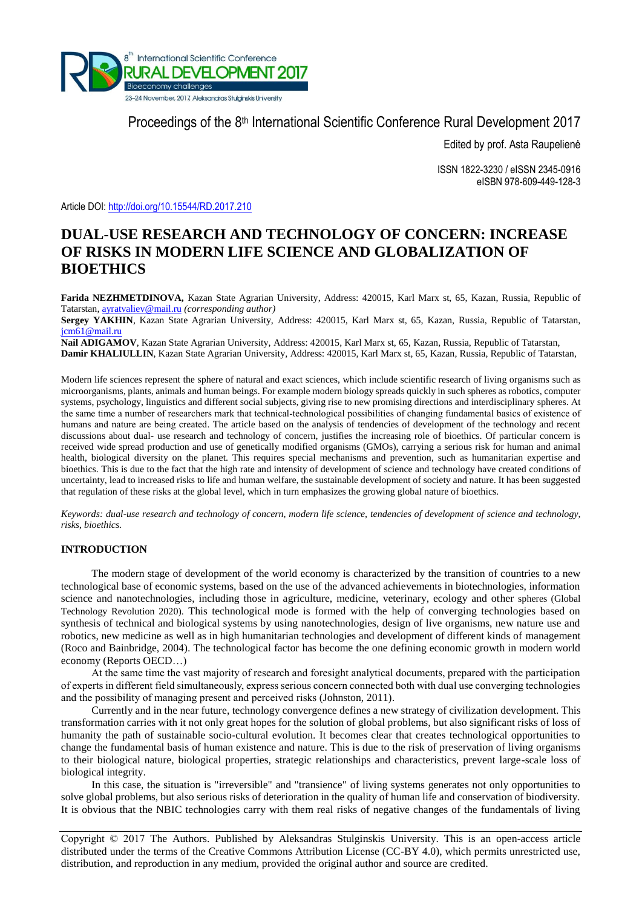

Proceedings of the 8<sup>th</sup> International Scientific Conference Rural Development 2017

Edited by prof. Asta Raupelienė

ISSN 1822-3230 / eISSN 2345-0916 eISBN 978-609-449-128-3

Article DOI:<http://doi.org/10.15544/RD.2017.210>

# **DUAL-USE RESEARCH AND TECHNOLOGY OF CONCERN: INCREASE OF RISKS IN MODERN LIFE SCIENCE AND GLOBALIZATION OF BIOETHICS**

**Farida NEZHMETDINOVA,** Kazan State Agrarian University, Address: 420015, Karl Marx st, 65, Kazan, Russia, Republic of Tatarstan, [ayratvaliev@mail.ru](mailto:ayratvaliev@mail.ru) *(corresponding author)*

**Sergey YAKHIN**, Kazan State Agrarian University, Address: 420015, Karl Marx st, 65, Kazan, Russia, Republic of Tatarstan, [jcm61@mail.ru](mailto:jcm61@mail.ru)

**Nail ADIGAMOV**, Kazan State Agrarian University, Address: 420015, Karl Marx st, 65, Kazan, Russia, Republic of Tatarstan, **Damir KHALIULLIN**, Kazan State Agrarian University, Address: 420015, Karl Marx st, 65, Kazan, Russia, Republic of Tatarstan,

Modern life sciences represent the sphere of natural and exact sciences, which include scientific research of living organisms such as microorganisms, plants, animals and human beings. For example modern biology spreads quickly in such spheres as robotics, computer systems, psychology, linguistics and different social subjects, giving rise to new promising directions and interdisciplinary spheres. At the same time a number of researchers mark that technical-technological possibilities of changing fundamental basics of existence of humans and nature are being created. The article based on the analysis of tendencies of development of the technology and recent discussions about dual- use research and technology of concern, justifies the increasing role of bioethics. Of particular concern is received wide spread production and use of genetically modified organisms (GMOs), carrying a serious risk for human and animal health, biological diversity on the planet. This requires special mechanisms and prevention, such as humanitarian expertise and bioethics. This is due to the fact that the high rate and intensity of development of science and technology have created conditions of uncertainty, lead to increased risks to life and human welfare, the sustainable development of society and nature. It has been suggested that regulation of these risks at the global level, which in turn emphasizes the growing global nature of bioethics.

*Keywords: dual-use research and technology of concern, modern life science, tendencies of development of science and technology, risks, bioethics.*

# **INTRODUCTION**

The modern stage of development of the world economy is characterized by the transition of countries to a new technological base of economic systems, based on the use of the advanced achievements in biotechnologies, information science and nanotechnologies, including those in agriculture, medicine, veterinary, ecology and other spheres (Global Technology Revolution 2020). This technological mode is formed with the help of converging technologies based on synthesis of technical and biological systems by using nanotechnologies, design of live organisms, new nature use and robotics, new medicine as well as in high humanitarian technologies and development of different kinds of management (Roco and Bainbridge, 2004). The technological factor has become the one defining economic growth in modern world economy (Reports OECD…)

At the same time the vast majority of research and foresight analytical documents, prepared with the participation of experts in different field simultaneously, express serious concern connected both with dual use converging technologies and the possibility of managing present and perceived risks (Johnston, 2011).

Currently and in the near future, technology convergence defines a new strategy of civilization development. This transformation carries with it not only great hopes for the solution of global problems, but also significant risks of loss of humanity the path of sustainable socio-cultural evolution. It becomes clear that creates technological opportunities to change the fundamental basis of human existence and nature. This is due to the risk of preservation of living organisms to their biological nature, biological properties, strategic relationships and characteristics, prevent large-scale loss of biological integrity.

In this case, the situation is "irreversible" and "transience" of living systems generates not only opportunities to solve global problems, but also serious risks of deterioration in the quality of human life and conservation of biodiversity. It is obvious that the NBIC technologies carry with them real risks of negative changes of the fundamentals of living

Copyright © 2017 The Authors. Published by Aleksandras Stulginskis University. This is an open-access article distributed under the terms of the Creative Commons Attribution License (CC-BY 4.0), which permits unrestricted use, distribution, and reproduction in any medium, provided the original author and source are credited.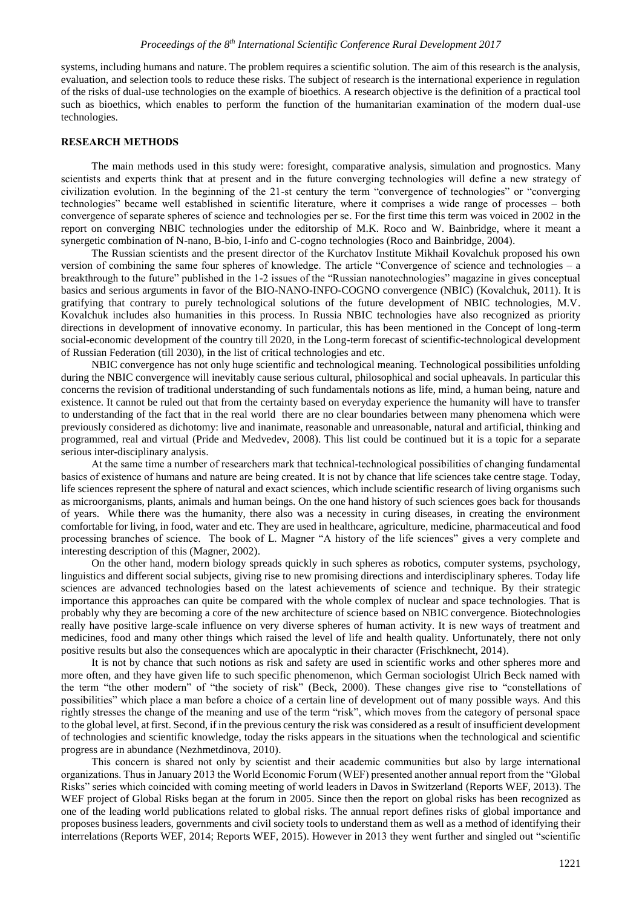systems, including humans and nature. The problem requires a scientific solution. The aim of this research is the analysis, evaluation, and selection tools to reduce these risks. The subject of research is the international experience in regulation of the risks of dual-use technologies on the example of bioethics. A research objective is the definition of a practical tool such as bioethics, which enables to perform the function of the humanitarian examination of the modern dual-use technologies.

### **RESEARCH METHODS**

The main methods used in this study were: foresight, comparative analysis, simulation and prognostics. Many scientists and experts think that at present and in the future converging technologies will define a new strategy of civilization evolution. In the beginning of the 21-st century the term "convergence of technologies" or "converging technologies" became well established in scientific literature, where it comprises a wide range of processes – both convergence of separate spheres of science and technologies per se. For the first time this term was voiced in 2002 in the report on converging NBIC technologies under the editorship of M.K. Roco and W. Bainbridge, where it meant a synergetic combination of N-nano, B-bio, I-info and C-cogno technologies (Roco and Bainbridge, 2004).

The Russian scientists and the present director of the Kurchatov Institute Mikhail Kovalchuk proposed his own version of combining the same four spheres of knowledge. The article "Convergence of science and technologies – a breakthrough to the future" published in the 1-2 issues of the "Russian nanotechnologies" magazine in gives conceptual basics and serious arguments in favor of the BIO-NANO-INFO-COGNO convergence (NBIC) (Kovalchuk, 2011). It is gratifying that contrary to purely technological solutions of the future development of NBIC technologies, M.V. Kovalchuk includes also humanities in this process. In Russia NBIC technologies have also recognized as priority directions in development of innovative economy. In particular, this has been mentioned in the Concept of long-term social-economic development of the country till 2020, in the Long-term forecast of scientific-technological development of Russian Federation (till 2030), in the list of critical technologies and etc.

NBIC convergence has not only huge scientific and technological meaning. Technological possibilities unfolding during the NBIC convergence will inevitably cause serious cultural, philosophical and social upheavals. In particular this concerns the revision of traditional understanding of such fundamentals notions as life, mind, a human being, nature and existence. It cannot be ruled out that from the certainty based on everyday experience the humanity will have to transfer to understanding of the fact that in the real world there are no clear boundaries between many phenomena which were previously considered as dichotomy: live and inanimate, reasonable and unreasonable, natural and artificial, thinking and programmed, real and virtual (Pride and Medvedev, 2008). This list could be continued but it is a topic for a separate serious inter-disciplinary analysis.

At the same time a number of researchers mark that technical-technological possibilities of changing fundamental basics of existence of humans and nature are being created. It is not by chance that life sciences take centre stage. Today, life sciences represent the sphere of natural and exact sciences, which include scientific research of living organisms such as microorganisms, plants, animals and human beings. On the one hand history of such sciences goes back for thousands of years. While there was the humanity, there also was a necessity in curing diseases, in creating the environment comfortable for living, in food, water and etc. They are used in healthcare, agriculture, medicine, pharmaceutical and food processing branches of science. The book of L. Magner "A history of the life sciences" gives a very complete and interesting description of this (Magner, 2002).

On the other hand, modern biology spreads quickly in such spheres as robotics, computer systems, psychology, linguistics and different social subjects, giving rise to new promising directions and interdisciplinary spheres. Today life sciences are advanced technologies based on the latest achievements of science and technique. By their strategic importance this approaches can quite be compared with the whole complex of nuclear and space technologies. That is probably why they are becoming a core of the new architecture of science based on NBIC convergence. Biotechnologies really have positive large-scale influence on very diverse spheres of human activity. It is new ways of treatment and medicines, food and many other things which raised the level of life and health quality. Unfortunately, there not only positive results but also the consequences which are apocalyptic in their character (Frischknecht, 2014).

It is not by chance that such notions as risk and safety are used in scientific works and other spheres more and more often, and they have given life to such specific phenomenon, which German sociologist Ulrich Beck named with the term "the other modern" of "the society of risk" (Beck, 2000). These changes give rise to "constellations of possibilities" which place a man before a choice of a certain line of development out of many possible ways. And this rightly stresses the change of the meaning and use of the term "risk", which moves from the category of personal space to the global level, at first. Second, if in the previous century the risk was considered as a result of insufficient development of technologies and scientific knowledge, today the risks appears in the situations when the technological and scientific progress are in abundance (Nezhmetdinova, 2010).

This concern is shared not only by scientist and their academic communities but also by large international organizations. Thus in January 2013 the World Economic Forum (WEF) presented another annual report from the "Global Risks" series which coincided with coming meeting of world leaders in Davos in Switzerland (Reports WEF, 2013). The WEF project of Global Risks began at the forum in 2005. Since then the report on global risks has been recognized as one of the leading world publications related to global risks. The annual report defines risks of global importance and proposes business leaders, governments and civil society tools to understand them as well as a method of identifying their interrelations (Reports WEF, 2014; Reports WEF, 2015). However in 2013 they went further and singled out "scientific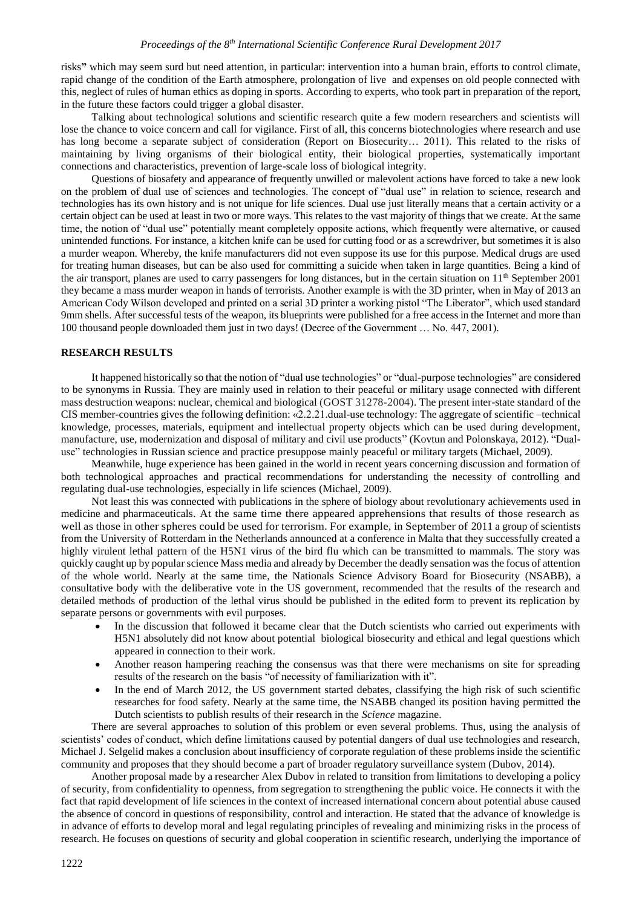risks**"** which may seem surd but need attention, in particular: intervention into a human brain, efforts to control climate, rapid change of the condition of the Earth atmosphere, prolongation of live and expenses on old people connected with this, neglect of rules of human ethics as doping in sports. According to experts, who took part in preparation of the report, in the future these factors could trigger a global disaster.

Talking about technological solutions and scientific research quite a few modern researchers and scientists will lose the chance to voice concern and call for vigilance. First of all, this concerns biotechnologies where research and use has long become a separate subject of consideration (Report on Biosecurity… 2011). This related to the risks of maintaining by living organisms of their biological entity, their biological properties, systematically important connections and characteristics, prevention of large-scale loss of biological integrity.

Questions of biosafety and appearance of frequently unwilled or malevolent actions have forced to take a new look on the problem of dual use of sciences and technologies. The concept of "dual use" in relation to science, research and technologies has its own history and is not unique for life sciences. Dual use just literally means that a certain activity or a certain object can be used at least in two or more ways. This relates to the vast majority of things that we create. At the same time, the notion of "dual use" potentially meant completely opposite actions, which frequently were alternative, or caused unintended functions. For instance, a kitchen knife can be used for cutting food or as a screwdriver, but sometimes it is also a murder weapon. Whereby, the knife manufacturers did not even suppose its use for this purpose. Medical drugs are used for treating human diseases, but can be also used for committing a suicide when taken in large quantities. Being a kind of the air transport, planes are used to carry passengers for long distances, but in the certain situation on  $11<sup>th</sup>$  September 2001 they became a mass murder weapon in hands of terrorists. Another example is with the 3D printer, when in May of 2013 an American Cody Wilson developed and printed on a serial 3D printer a working pistol "The Liberator", which used standard 9mm shells. After successful tests of the weapon, its blueprints were published for a free access in the Internet and more than 100 thousand people downloaded them just in two days! (Decree of the Government … No. 447, 2001).

## **RESEARCH RESULTS**

It happened historically so that the notion of "dual use technologies" or "dual-purpose technologies" are considered to be synonyms in Russia. They are mainly used in relation to their peaceful or military usage connected with different mass destruction weapons: nuclear, chemical and biological (GOST 31278-2004). The present inter-state standard of the CIS member-countries gives the following definition: «2.2.21.dual-use technology: The aggregate of scientific –technical knowledge, processes, materials, equipment and intellectual property objects which can be used during development, manufacture, use, modernization and disposal of military and civil use products" (Kovtun and Polonskaya, 2012). "Dualuse" technologies in Russian science and practice presuppose mainly peaceful or military targets (Michael, 2009).

Meanwhile, huge experience has been gained in the world in recent years concerning discussion and formation of both technological approaches and practical recommendations for understanding the necessity of controlling and regulating dual-use technologies, especially in life sciences (Michael, 2009).

Not least this was connected with publications in the sphere of biology about revolutionary achievements used in medicine and pharmaceuticals. At the same time there appeared apprehensions that results of those research as well as those in other spheres could be used for terrorism. For example, in September of 2011 a group of scientists from the University of Rotterdam in the Netherlands announced at a conference in Malta that they successfully created a highly virulent lethal pattern of the H5N1 virus of the bird flu which can be transmitted to mammals. The story was quickly caught up by popular science Mass media and already by December the deadly sensation was the focus of attention of the whole world. Nearly at the same time, the Nationals Science Advisory Board for Biosecurity (NSABB), a consultative body with the deliberative vote in the US government, recommended that the results of the research and detailed methods of production of the lethal virus should be published in the edited form to prevent its replication by separate persons or governments with evil purposes.

- In the discussion that followed it became clear that the Dutch scientists who carried out experiments with H5N1 absolutely did not know about potential biological biosecurity and ethical and legal questions which appeared in connection to their work.
- Another reason hampering reaching the consensus was that there were mechanisms on site for spreading results of the research on the basis "of necessity of familiarization with it".
- In the end of March 2012, the US government started debates, classifying the high risk of such scientific researches for food safety. Nearly at the same time, the NSABB changed its position having permitted the Dutch scientists to publish results of their research in the *Science* magazine.

There are several approaches to solution of this problem or even several problems. Thus, using the analysis of scientists' codes of conduct, which define limitations caused by potential dangers of dual use technologies and research, Michael J. Selgelid makes a conclusion about insufficiency of corporate regulation of these problems inside the scientific community and proposes that they should become a part of broader regulatory surveillance system (Dubov, 2014).

Another proposal made by a researcher Alex Dubov in related to transition from limitations to developing a policy of security, from confidentiality to openness, from segregation to strengthening the public voice. He connects it with the fact that rapid development of life sciences in the context of increased international concern about potential abuse caused the absence of concord in questions of responsibility, control and interaction. He stated that the advance of knowledge is in advance of efforts to develop moral and legal regulating principles of revealing and minimizing risks in the process of research. He focuses on questions of security and global cooperation in scientific research, underlying the importance of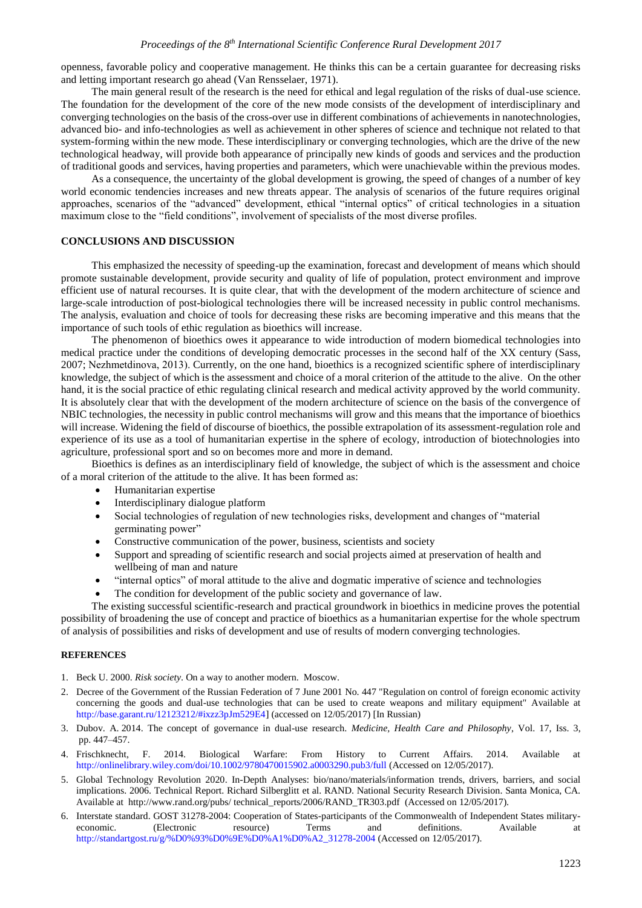openness, favorable policy and cooperative management. He thinks this can be a certain guarantee for decreasing risks and letting important research go ahead (Van Rensselaer, 1971).

The main general result of the research is the need for ethical and legal regulation of the risks of dual-use science. The foundation for the development of the core of the new mode consists of the development of interdisciplinary and converging technologies on the basis of the cross-over use in different combinations of achievements in nanotechnologies, advanced bio- and info-technologies as well as achievement in other spheres of science and technique not related to that system-forming within the new mode. These interdisciplinary or converging technologies, which are the drive of the new technological headway, will provide both appearance of principally new kinds of goods and services and the production of traditional goods and services, having properties and parameters, which were unachievable within the previous modes.

As a consequence, the uncertainty of the global development is growing, the speed of changes of a number of key world economic tendencies increases and new threats appear. The analysis of scenarios of the future requires original approaches, scenarios of the "advanced" development, ethical "internal optics" of critical technologies in a situation maximum close to the "field conditions", involvement of specialists of the most diverse profiles.

#### **CONCLUSIONS AND DISCUSSION**

This emphasized the necessity of speeding-up the examination, forecast and development of means which should promote sustainable development, provide security and quality of life of population, protect environment and improve efficient use of natural recourses. It is quite clear, that with the development of the modern architecture of science and large-scale introduction of post-biological technologies there will be increased necessity in public control mechanisms. The analysis, evaluation and choice of tools for decreasing these risks are becoming imperative and this means that the importance of such tools of ethic regulation as bioethics will increase.

The phenomenon of bioethics owes it appearance to wide introduction of modern biomedical technologies into medical practice under the conditions of developing democratic processes in the second half of the ХХ century (Sass, 2007; Nezhmetdinova, 2013). Currently, on the one hand, bioethics is a recognized scientific sphere of interdisciplinary knowledge, the subject of which is the assessment and choice of a moral criterion of the attitude to the alive. On the other hand, it is the social practice of ethic regulating clinical research and medical activity approved by the world community. It is absolutely clear that with the development of the modern architecture of science on the basis of the convergence of NBIC technologies, the necessity in public control mechanisms will grow and this means that the importance of bioethics will increase. Widening the field of discourse of bioethics, the possible extrapolation of its assessment-regulation role and experience of its use as a tool of humanitarian expertise in the sphere of ecology, introduction of biotechnologies into agriculture, professional sport and so on becomes more and more in demand.

Bioethics is defines as an interdisciplinary field of knowledge, the subject of which is the assessment and choice of a moral criterion of the attitude to the alive. It has been formed as:

- Humanitarian expertise
- Interdisciplinary dialogue platform
- Social technologies of regulation of new technologies risks, development and changes of "material germinating power"
- Constructive communication of the power, business, scientists and society
- Support and spreading of scientific research and social projects aimed at preservation of health and wellbeing of man and nature
- "internal optics" of moral attitude to the alive and dogmatic imperative of science and technologies
- The condition for development of the public society and governance of law.

The existing successful scientific-research and practical groundwork in bioethics in medicine proves the potential possibility of broadening the use of concept and practice of bioethics as a humanitarian expertise for the whole spectrum of analysis of possibilities and risks of development and use of results of modern converging technologies.

#### **REFERENCES**

- 1. Beck U. 2000. *Risk society*. On a way to another modern. Moscow.
- 2. Decree of the Government of the Russian Federation of 7 June 2001 No. 447 "Regulation on control of foreign economic activity concerning the goods and dual-use technologies that can be used to create weapons and military equipment" Available at [http://base.garant.ru/12123212/#ixzz3pJm529E4\]](http://base.garant.ru/12123212/#ixzz3pJm529E4) (accessed on 12/05/2017) [In Russian)
- 3. Dubov. A. 2014. The concept of governance in dual-use research. *Medicine, Health Care and Philosophy*, Vol. 17, Iss. 3, pp. 447–457.
- 4. Frischknecht, F. 2014. Biological Warfare: From History to Current Affairs. 2014. Available at <http://onlinelibrary.wiley.com/doi/10.1002/9780470015902.a0003290.pub3/full> (Accessed on 12/05/2017).
- 5. Global Technology Revolution 2020. In-Depth Analyses: bio/nano/materials/information trends, drivers, barriers, and social implications. 2006. Technical Report. Richard Silberglitt et al. RAND. National Security Research Division. Santa Monica, CA. Available at [http://www.rand.org/pubs/ technical\\_reports/2006/RAND\\_TR303.pdf](http://www.rand.org/pubs/technical_reports/2006/RAND_TR303.pdf) (Accessed on 12/05/2017).
- 6. Interstate standard. GOST 31278-2004: Cooperation of States-participants of the Commonwealth of Independent States militaryeconomic. (Electronic resource) Terms and definitions. Available at [http://standartgost.ru/g/%D0%93%D0%9E%D0%A1%D0%A2\\_31278-2004](http://standartgost.ru/g/%D0%93%D0%9E%D0%A1%D0%A2_31278-2004) (Accessed on 12/05/2017).